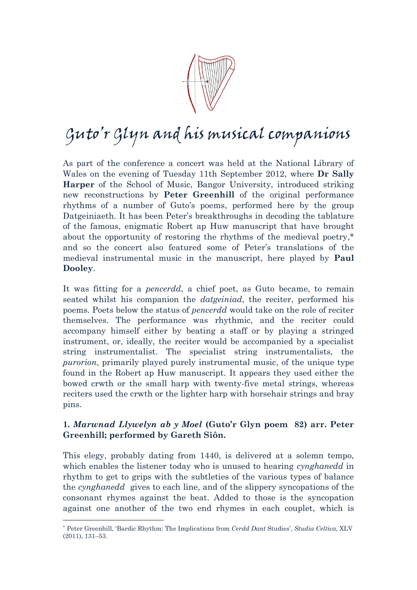

## Guto'r Glyn and his musical companions

As part of the conference a concert was held at the National Library of Wales on the evening of Tuesday 11th September 2012, where **[Dr Sally](http://www.bangor.ac.uk/music/staff/sally_harper.php.en)  [Harper](http://www.bangor.ac.uk/music/staff/sally_harper.php.en)** of the School of Music, Bangor University, introduced striking new reconstructions by **[Peter Greenhill](http://www.cl.cam.ac.uk/~rja14/musicfiles/manuscripts/aphuw/)** of the original performance rhythms of a number of Guto's poems, performed here by the group Datgeiniaeth. It has been Peter's breakthroughs in decoding the tablature of the famous, enigmatic Robert ap Huw manuscript that have brought about the opportunity of restoring the rhythms of the medieval poetry,\* and so the concert also featured some of Peter's translations of the medieval instrumental music in the manuscript, here played by **[Paul](http://www.pauldooley.com/about/index.html)  [Dooley](http://www.pauldooley.com/about/index.html)**.

It was fitting for a *pencerdd*, a chief poet, as Guto became, to remain seated whilst his companion the *datgeiniad*, the reciter, performed his poems. Poets below the status of *pencerdd* would take on the role of reciter themselves. The performance was rhythmic, and the reciter could accompany himself either by beating a staff or by playing a stringed instrument, or, ideally, the reciter would be accompanied by a specialist string instrumentalist. The specialist string instrumentalists, the *purorion*, primarily played purely instrumental music, of the unique type found in the Robert ap Huw manuscript. It appears they used either the bowed crwth or the small harp with twenty-five metal strings, whereas reciters used the crwth or the lighter harp with horsehair strings and bray pins.

## **1.** *Marwnad Llywelyn ab y Moel* **(Guto'r Glyn poem 82) arr. Peter Greenhill; performed by Gareth Siôn.**

This elegy, probably dating from 1440, is delivered at a solemn tempo, which enables the listener today who is unused to hearing *cynghanedd* in rhythm to get to grips with the subtleties of the various types of balance the *cynghanedd* gives to each line, and of the slippery syncopations of the consonant rhymes against the beat. Added to those is the syncopation against one another of the two end rhymes in each couplet, which is

 $\overline{a}$ 

<sup>\*</sup> Peter Greenhill, 'Bardic Rhythm: The Implications from *Cerdd Dant* Studies', *Studia Celtica*, XLV (2011), 131–53.